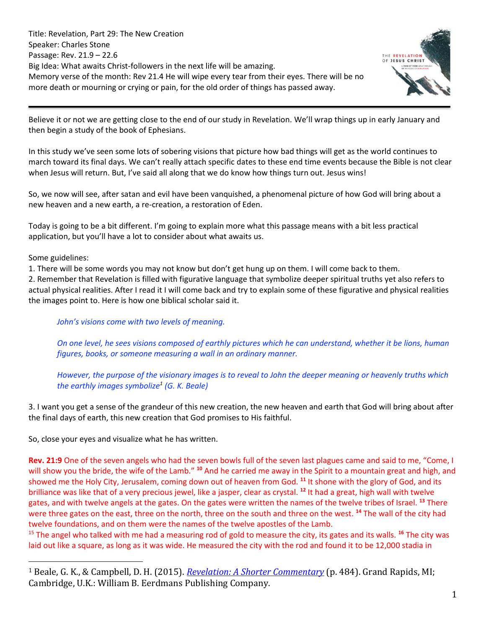Title: Revelation, Part 29: The New Creation Speaker: Charles Stone Passage: Rev. 21.9 – 22.6 Big Idea: What awaits Christ-followers in the next life will be amazing. Memory verse of the month: Rev 21.4 He will wipe every tear from their eyes. There will be no more death or mourning or crying or pain, for the old order of things has passed away.



Believe it or not we are getting close to the end of our study in Revelation. We'll wrap things up in early January and then begin a study of the book of Ephesians.

In this study we've seen some lots of sobering visions that picture how bad things will get as the world continues to march toward its final days. We can't really attach specific dates to these end time events because the Bible is not clear when Jesus will return. But, I've said all along that we do know how things turn out. Jesus wins!

So, we now will see, after satan and evil have been vanquished, a phenomenal picture of how God will bring about a new heaven and a new earth, a re-creation, a restoration of Eden.

Today is going to be a bit different. I'm going to explain more what this passage means with a bit less practical application, but you'll have a lot to consider about what awaits us.

Some guidelines:

1. There will be some words you may not know but don't get hung up on them. I will come back to them.

2. Remember that Revelation is filled with figurative language that symbolize deeper spiritual truths yet also refers to actual physical realities. After I read it I will come back and try to explain some of these figurative and physical realities the images point to. Here is how one biblical scholar said it.

*John's visions come with two levels of meaning.*

*On one level, he sees visions composed of earthly pictures which he can understand, whether it be lions, human figures, books, or someone measuring a wall in an ordinary manner.* 

*However, the purpose of the visionary images is to reveal to John the deeper meaning or heavenly truths which the earthly images symbolize<sup>1</sup> (G. K. Beale)*

3. I want you get a sense of the grandeur of this new creation, the new heaven and earth that God will bring about after the final days of earth, this new creation that God promises to His faithful.

So, close your eyes and visualize what he has written.

**Rev. 21:9** One of the seven angels who had the seven bowls full of the seven last plagues came and said to me, "Come, I will show you the bride, the wife of the Lamb." **<sup>10</sup>** And he carried me away in the Spirit to a mountain great and high, and showed me the Holy City, Jerusalem, coming down out of heaven from God. **<sup>11</sup>** It shone with the glory of God, and its brilliance was like that of a very precious jewel, like a jasper, clear as crystal. **<sup>12</sup>** It had a great, high wall with twelve gates, and with twelve angels at the gates. On the gates were written the names of the twelve tribes of Israel. **<sup>13</sup>** There were three gates on the east, three on the north, three on the south and three on the west. **<sup>14</sup>** The wall of the city had twelve foundations, and on them were the names of the twelve apostles of the Lamb.

<sup>15</sup> The angel who talked with me had a measuring rod of gold to measure the city, its gates and its walls. **<sup>16</sup>** The city was laid out like a square, as long as it was wide. He measured the city with the rod and found it to be 12,000 stadia in

<sup>1</sup> Beale, G. K., & Campbell, D. H. (2015). *[Revelation: A Shorter Commentary](https://ref.ly/logosres/rvltnshrtrcmm?ref=Bible.Re21.17&off=2455&ctx=n+angelic+standard.+~But+John%E2%80%99s+visions+c)* (p. 484). Grand Rapids, MI; Cambridge, U.K.: William B. Eerdmans Publishing Company.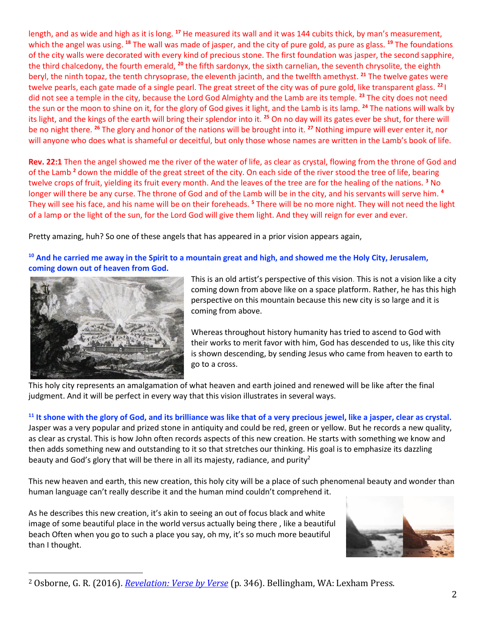length, and as wide and high as it is long. **<sup>17</sup>** He measured its wall and it was 144 cubits thick, by man's measurement, which the angel was using. **<sup>18</sup>** The wall was made of jasper, and the city of pure gold, as pure as glass. **<sup>19</sup>** The foundations of the city walls were decorated with every kind of precious stone. The first foundation was jasper, the second sapphire, the third chalcedony, the fourth emerald, **<sup>20</sup>** the fifth sardonyx, the sixth carnelian, the seventh chrysolite, the eighth beryl, the ninth topaz, the tenth chrysoprase, the eleventh jacinth, and the twelfth amethyst. **<sup>21</sup>** The twelve gates were twelve pearls, each gate made of a single pearl. The great street of the city was of pure gold, like transparent glass. **<sup>22</sup>**I did not see a temple in the city, because the Lord God Almighty and the Lamb are its temple. **<sup>23</sup>** The city does not need the sun or the moon to shine on it, for the glory of God gives it light, and the Lamb is its lamp. **<sup>24</sup>** The nations will walk by its light, and the kings of the earth will bring their splendor into it. **<sup>25</sup>** On no day will its gates ever be shut, for there will be no night there. **<sup>26</sup>** The glory and honor of the nations will be brought into it. **<sup>27</sup>** Nothing impure will ever enter it, nor will anyone who does what is shameful or deceitful, but only those whose names are written in the Lamb's book of life.

**Rev. 22:1** Then the angel showed me the river of the water of life, as clear as crystal, flowing from the throne of God and of the Lamb **<sup>2</sup>** down the middle of the great street of the city. On each side of the river stood the tree of life, bearing twelve crops of fruit, yielding its fruit every month. And the leaves of the tree are for the healing of the nations. **<sup>3</sup>** No longer will there be any curse. The throne of God and of the Lamb will be in the city, and his servants will serve him. **<sup>4</sup>** They will see his face, and his name will be on their foreheads. **<sup>5</sup>** There will be no more night. They will not need the light of a lamp or the light of the sun, for the Lord God will give them light. And they will reign for ever and ever.

Pretty amazing, huh? So one of these angels that has appeared in a prior vision appears again,

**<sup>10</sup> And he carried me away in the Spirit to a mountain great and high, and showed me the Holy City, Jerusalem, coming down out of heaven from God.** 



This is an old artist's perspective of this vision. This is not a vision like a city coming down from above like on a space platform. Rather, he has this high perspective on this mountain because this new city is so large and it is coming from above.

Whereas throughout history humanity has tried to ascend to God with their works to merit favor with him, God has descended to us, like this city is shown descending, by sending Jesus who came from heaven to earth to go to a cross.

This holy city represents an amalgamation of what heaven and earth joined and renewed will be like after the final judgment. And it will be perfect in every way that this vision illustrates in several ways.

**<sup>11</sup> It shone with the glory of God, and its brilliance was like that of a very precious jewel, like a jasper, clear as crystal.**  Jasper was a very popular and prized stone in antiquity and could be red, green or yellow. But he records a new quality, as clear as crystal. This is how John often records aspects of this new creation. He starts with something we know and then adds something new and outstanding to it so that stretches our thinking. His goal is to emphasize its dazzling beauty and God's glory that will be there in all its majesty, radiance, and purity<sup>2</sup>

This new heaven and earth, this new creation, this holy city will be a place of such phenomenal beauty and wonder than human language can't really describe it and the human mind couldn't comprehend it.

As he describes this new creation, it's akin to seeing an out of focus black and white image of some beautiful place in the world versus actually being there , like a beautiful beach Often when you go to such a place you say, oh my, it's so much more beautiful than I thought.



<sup>2</sup> Osborne, G. R. (2016). *[Revelation: Verse by Verse](https://ref.ly/logosres/vbv87rev?ref=Bible.Re21.11-21&off=911&ctx=jewels+of+21:19%E2%80%9320.+~In+all+these+passage)* (p. 346). Bellingham, WA: Lexham Press.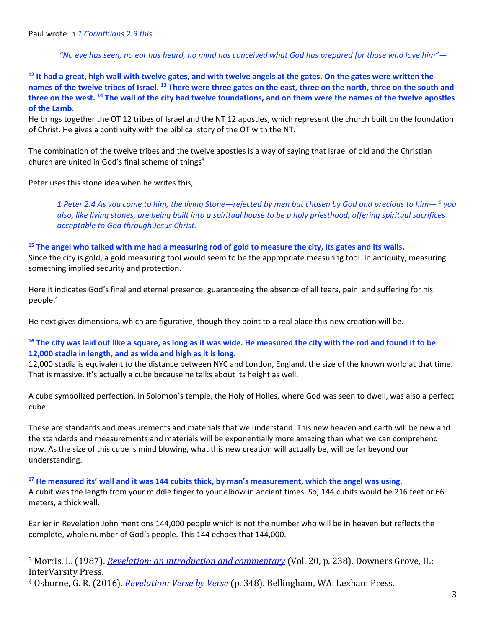Paul wrote in *1 Corinthians 2.9 this.*

*"No eye has seen, no ear has heard, no mind has conceived what God has prepared for those who love him"—*

<sup>12</sup> It had a great, high wall with twelve gates, and with twelve angels at the gates. On the gates were written the **names of the twelve tribes of Israel. <sup>13</sup> There were three gates on the east, three on the north, three on the south and three on the west. <sup>14</sup> The wall of the city had twelve foundations, and on them were the names of the twelve apostles of the Lamb**.

He brings together the OT 12 tribes of Israel and the NT 12 apostles, which represent the church built on the foundation of Christ. He gives a continuity with the biblical story of the OT with the NT.

The combination of the twelve tribes and the twelve apostles is a way of saying that Israel of old and the Christian church are united in God's final scheme of things $3$ 

Peter uses this stone idea when he writes this,

*1 Peter 2:4 As you come to him, the living Stone—rejected by men but chosen by God and precious to him— <sup>5</sup> you also, like living stones, are being built into a spiritual house to be a holy priesthood, offering spiritual sacrifices acceptable to God through Jesus Christ.*

### **<sup>15</sup> The angel who talked with me had a measuring rod of gold to measure the city, its gates and its walls.**

Since the city is gold, a gold measuring tool would seem to be the appropriate measuring tool. In antiquity, measuring something implied security and protection.

Here it indicates God's final and eternal presence, guaranteeing the absence of all tears, pain, and suffering for his people.<sup>4</sup>

He next gives dimensions, which are figurative, though they point to a real place this new creation will be.

# **<sup>16</sup> The city was laid out like a square, as long as it was wide. He measured the city with the rod and found it to be 12,000 stadia in length, and as wide and high as it is long.**

12,000 stadia is equivalent to the distance between NYC and London, England, the size of the known world at that time. That is massive. It's actually a cube because he talks about its height as well.

A cube symbolized perfection. In Solomon's temple, the Holy of Holies, where God was seen to dwell, was also a perfect cube.

These are standards and measurements and materials that we understand. This new heaven and earth will be new and the standards and measurements and materials will be exponentially more amazing than what we can comprehend now. As the size of this cube is mind blowing, what this new creation will actually be, will be far beyond our understanding.

#### **<sup>17</sup> He measured its' wall and it was 144 cubits thick, by man's measurement, which the angel was using.**

A cubit was the length from your middle finger to your elbow in ancient times. So, 144 cubits would be 216 feet or 66 meters, a thick wall.

Earlier in Revelation John mentions 144,000 people which is not the number who will be in heaven but reflects the complete, whole number of God's people. This 144 echoes that 144,000.

<sup>3</sup> Morris, L. (1987). *[Revelation: an introduction and commentary](https://ref.ly/logosres/tntc87reus?ref=Bible.Re21.14&off=84&ctx=+Christ%E2%80%99s+apostles.+~The+combination+of+t)* (Vol. 20, p. 238). Downers Grove, IL: InterVarsity Press.

<sup>4</sup> Osborne, G. R. (2016). *[Revelation: Verse by Verse](https://ref.ly/logosres/vbv87rev?ref=Bible.Re21.11-21&off=4628&ctx=hip+and+protection.+~Here+it+indicates+Go)* (p. 348). Bellingham, WA: Lexham Press.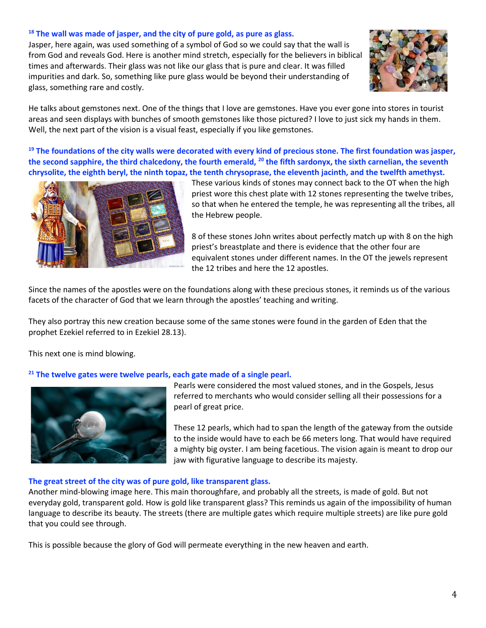## **<sup>18</sup> The wall was made of jasper, and the city of pure gold, as pure as glass.**

Jasper, here again, was used something of a symbol of God so we could say that the wall is from God and reveals God. Here is another mind stretch, especially for the believers in biblical times and afterwards. Their glass was not like our glass that is pure and clear. It was filled impurities and dark. So, something like pure glass would be beyond their understanding of glass, something rare and costly.



He talks about gemstones next. One of the things that I love are gemstones. Have you ever gone into stores in tourist areas and seen displays with bunches of smooth gemstones like those pictured? I love to just sick my hands in them. Well, the next part of the vision is a visual feast, especially if you like gemstones.

**<sup>19</sup> The foundations of the city walls were decorated with every kind of precious stone. The first foundation was jasper, the second sapphire, the third chalcedony, the fourth emerald, <sup>20</sup> the fifth sardonyx, the sixth carnelian, the seventh chrysolite, the eighth beryl, the ninth topaz, the tenth chrysoprase, the eleventh jacinth, and the twelfth amethyst.** 



These various kinds of stones may connect back to the OT when the high priest wore this chest plate with 12 stones representing the twelve tribes, so that when he entered the temple, he was representing all the tribes, all the Hebrew people.

8 of these stones John writes about perfectly match up with 8 on the high priest's breastplate and there is evidence that the other four are equivalent stones under different names. In the OT the jewels represent the 12 tribes and here the 12 apostles.

Since the names of the apostles were on the foundations along with these precious stones, it reminds us of the various facets of the character of God that we learn through the apostles' teaching and writing.

They also portray this new creation because some of the same stones were found in the garden of Eden that the prophet Ezekiel referred to in Ezekiel 28.13).

This next one is mind blowing.

#### **<sup>21</sup> The twelve gates were twelve pearls, each gate made of a single pearl.**



Pearls were considered the most valued stones, and in the Gospels, Jesus referred to merchants who would consider selling all their possessions for a pearl of great price.

These 12 pearls, which had to span the length of the gateway from the outside to the inside would have to each be 66 meters long. That would have required a mighty big oyster. I am being facetious. The vision again is meant to drop our jaw with figurative language to describe its majesty.

#### **The great street of the city was of pure gold, like transparent glass.**

Another mind-blowing image here. This main thoroughfare, and probably all the streets, is made of gold. But not everyday gold, transparent gold. How is gold like transparent glass? This reminds us again of the impossibility of human language to describe its beauty. The streets (there are multiple gates which require multiple streets) are like pure gold that you could see through.

This is possible because the glory of God will permeate everything in the new heaven and earth.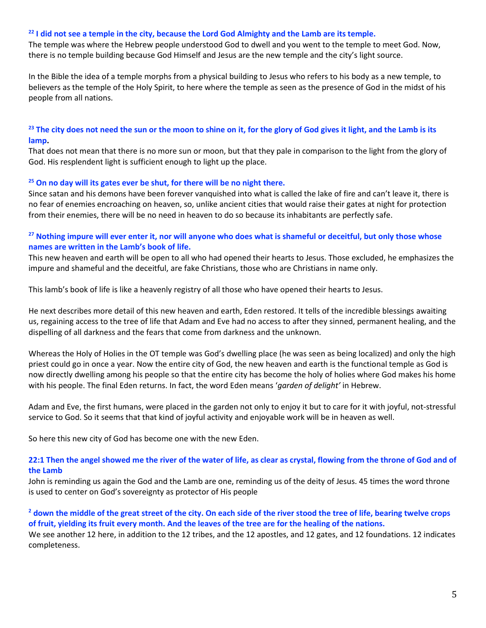#### **<sup>22</sup> I did not see a temple in the city, because the Lord God Almighty and the Lamb are its temple.**

The temple was where the Hebrew people understood God to dwell and you went to the temple to meet God. Now, there is no temple building because God Himself and Jesus are the new temple and the city's light source.

In the Bible the idea of a temple morphs from a physical building to Jesus who refers to his body as a new temple, to believers as the temple of the Holy Spirit, to here where the temple as seen as the presence of God in the midst of his people from all nations.

# **<sup>23</sup> The city does not need the sun or the moon to shine on it, for the glory of God gives it light, and the Lamb is its lamp.**

That does not mean that there is no more sun or moon, but that they pale in comparison to the light from the glory of God. His resplendent light is sufficient enough to light up the place.

### **<sup>25</sup> On no day will its gates ever be shut, for there will be no night there.**

Since satan and his demons have been forever vanquished into what is called the lake of fire and can't leave it, there is no fear of enemies encroaching on heaven, so, unlike ancient cities that would raise their gates at night for protection from their enemies, there will be no need in heaven to do so because its inhabitants are perfectly safe.

## **<sup>27</sup> Nothing impure will ever enter it, nor will anyone who does what is shameful or deceitful, but only those whose names are written in the Lamb's book of life.**

This new heaven and earth will be open to all who had opened their hearts to Jesus. Those excluded, he emphasizes the impure and shameful and the deceitful, are fake Christians, those who are Christians in name only.

This lamb's book of life is like a heavenly registry of all those who have opened their hearts to Jesus.

He next describes more detail of this new heaven and earth, Eden restored. It tells of the incredible blessings awaiting us, regaining access to the tree of life that Adam and Eve had no access to after they sinned, permanent healing, and the dispelling of all darkness and the fears that come from darkness and the unknown.

Whereas the Holy of Holies in the OT temple was God's dwelling place (he was seen as being localized) and only the high priest could go in once a year. Now the entire city of God, the new heaven and earth is the functional temple as God is now directly dwelling among his people so that the entire city has become the holy of holies where God makes his home with his people. The final Eden returns. In fact, the word Eden means '*garden of delight'* in Hebrew.

Adam and Eve, the first humans, were placed in the garden not only to enjoy it but to care for it with joyful, not-stressful service to God. So it seems that that kind of joyful activity and enjoyable work will be in heaven as well.

So here this new city of God has become one with the new Eden.

### **22:1 Then the angel showed me the river of the water of life, as clear as crystal, flowing from the throne of God and of the Lamb**

John is reminding us again the God and the Lamb are one, reminding us of the deity of Jesus. 45 times the word throne is used to center on God's sovereignty as protector of His people

**<sup>2</sup> down the middle of the great street of the city. On each side of the river stood the tree of life, bearing twelve crops of fruit, yielding its fruit every month. And the leaves of the tree are for the healing of the nations.** 

We see another 12 here, in addition to the 12 tribes, and the 12 apostles, and 12 gates, and 12 foundations. 12 indicates completeness.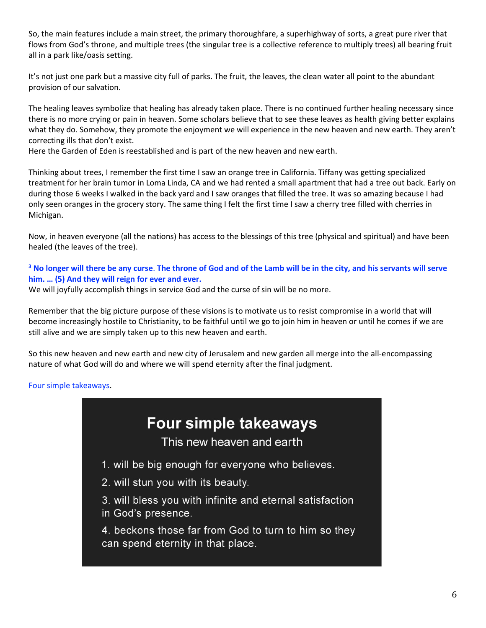So, the main features include a main street, the primary thoroughfare, a superhighway of sorts, a great pure river that flows from God's throne, and multiple trees (the singular tree is a collective reference to multiply trees) all bearing fruit all in a park like/oasis setting.

It's not just one park but a massive city full of parks. The fruit, the leaves, the clean water all point to the abundant provision of our salvation.

The healing leaves symbolize that healing has already taken place. There is no continued further healing necessary since there is no more crying or pain in heaven. Some scholars believe that to see these leaves as health giving better explains what they do. Somehow, they promote the enjoyment we will experience in the new heaven and new earth. They aren't correcting ills that don't exist.

Here the Garden of Eden is reestablished and is part of the new heaven and new earth.

Thinking about trees, I remember the first time I saw an orange tree in California. Tiffany was getting specialized treatment for her brain tumor in Loma Linda, CA and we had rented a small apartment that had a tree out back. Early on during those 6 weeks I walked in the back yard and I saw oranges that filled the tree. It was so amazing because I had only seen oranges in the grocery story. The same thing I felt the first time I saw a cherry tree filled with cherries in Michigan.

Now, in heaven everyone (all the nations) has access to the blessings of this tree (physical and spiritual) and have been healed (the leaves of the tree).

# **<sup>3</sup> No longer will there be any curse**. **The throne of God and of the Lamb will be in the city, and his servants will serve him. … (5) And they will reign for ever and ever.**

We will joyfully accomplish things in service God and the curse of sin will be no more.

Remember that the big picture purpose of these visions is to motivate us to resist compromise in a world that will become increasingly hostile to Christianity, to be faithful until we go to join him in heaven or until he comes if we are still alive and we are simply taken up to this new heaven and earth.

So this new heaven and new earth and new city of Jerusalem and new garden all merge into the all-encompassing nature of what God will do and where we will spend eternity after the final judgment.

Four simple takeaways.

# **Four simple takeaways**

This new heaven and earth

- 1. will be big enough for everyone who believes.
- 2. will stun you with its beauty.
- 3. will bless you with infinite and eternal satisfaction in God's presence.

4. beckons those far from God to turn to him so they can spend eternity in that place.